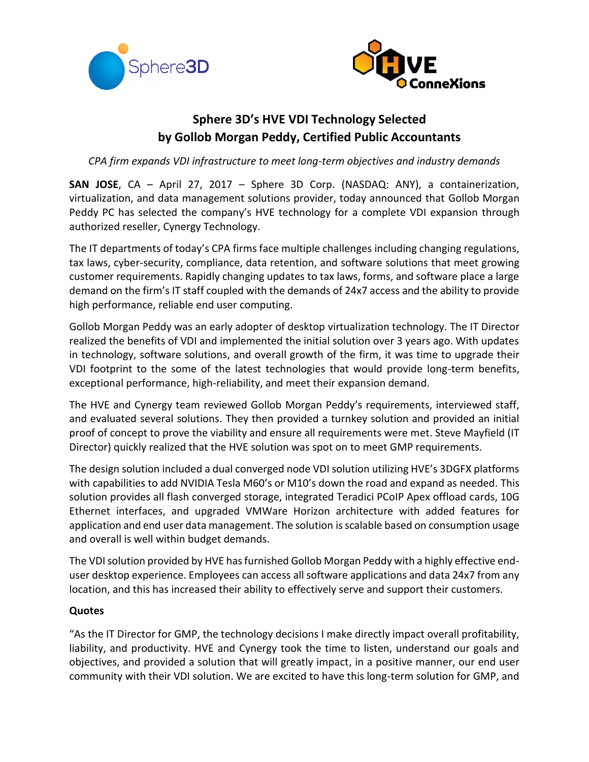



# **Sphere 3D's HVE VDI Technology Selected by Gollob Morgan Peddy, Certified Public Accountants**

*CPA firm expands VDI infrastructure to meet long-term objectives and industry demands*

**SAN JOSE**, CA – April 27, 2017 – Sphere 3D Corp. (NASDAQ: ANY), a containerization, virtualization, and data management solutions provider, today announced that Gollob Morgan Peddy PC has selected the company's HVE technology for a complete VDI expansion through authorized reseller, Cynergy Technology.

The IT departments of today's CPA firms face multiple challenges including changing regulations, tax laws, cyber-security, compliance, data retention, and software solutions that meet growing customer requirements. Rapidly changing updates to tax laws, forms, and software place a large demand on the firm's IT staff coupled with the demands of 24x7 access and the ability to provide high performance, reliable end user computing.

Gollob Morgan Peddy was an early adopter of desktop virtualization technology. The IT Director realized the benefits of VDI and implemented the initial solution over 3 years ago. With updates in technology, software solutions, and overall growth of the firm, it was time to upgrade their VDI footprint to the some of the latest technologies that would provide long-term benefits, exceptional performance, high-reliability, and meet their expansion demand.

The HVE and Cynergy team reviewed Gollob Morgan Peddy's requirements, interviewed staff, and evaluated several solutions. They then provided a turnkey solution and provided an initial proof of concept to prove the viability and ensure all requirements were met. Steve Mayfield (IT Director) quickly realized that the HVE solution was spot on to meet GMP requirements.

The design solution included a dual converged node VDI solution utilizing HVE's 3DGFX platforms with capabilities to add NVIDIA Tesla M60's or M10's down the road and expand as needed. This solution provides all flash converged storage, integrated Teradici PCoIP Apex offload cards, 10G Ethernet interfaces, and upgraded VMWare Horizon architecture with added features for application and end user data management. The solution is scalable based on consumption usage and overall is well within budget demands.

The VDI solution provided by HVE has furnished Gollob Morgan Peddy with a highly effective enduser desktop experience. Employees can access all software applications and data 24x7 from any location, and this has increased their ability to effectively serve and support their customers.

## **Quotes**

"As the IT Director for GMP, the technology decisions I make directly impact overall profitability, liability, and productivity. HVE and Cynergy took the time to listen, understand our goals and objectives, and provided a solution that will greatly impact, in a positive manner, our end user community with their VDI solution. We are excited to have this long-term solution for GMP, and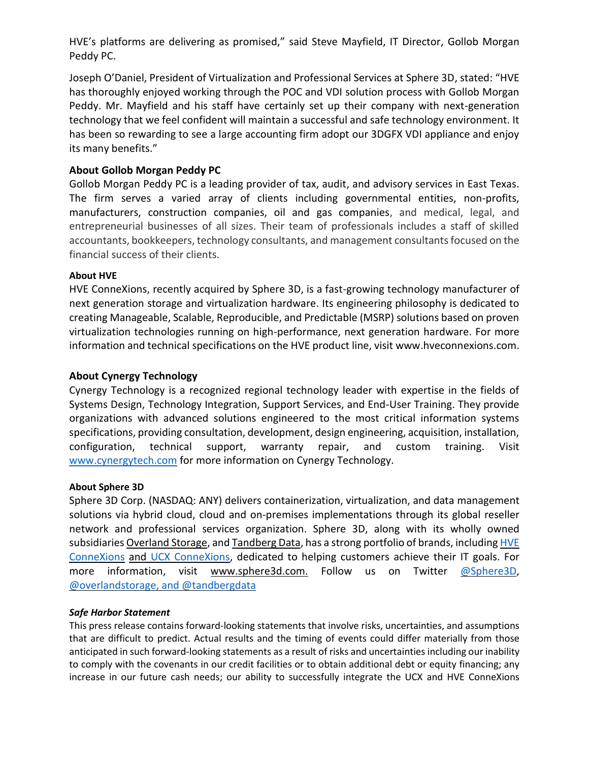HVE's platforms are delivering as promised," said Steve Mayfield, IT Director, Gollob Morgan Peddy PC.

Joseph O'Daniel, President of Virtualization and Professional Services at Sphere 3D, stated: "HVE has thoroughly enjoyed working through the POC and VDI solution process with Gollob Morgan Peddy. Mr. Mayfield and his staff have certainly set up their company with next-generation technology that we feel confident will maintain a successful and safe technology environment. It has been so rewarding to see a large accounting firm adopt our 3DGFX VDI appliance and enjoy its many benefits."

## **About Gollob Morgan Peddy PC**

Gollob Morgan Peddy PC is a leading provider of tax, audit, and advisory services in East Texas. The firm serves a varied array of clients including governmental entities, non-profits, manufacturers, construction companies, oil and gas companies, and medical, legal, and entrepreneurial businesses of all sizes. Their team of professionals includes a staff of skilled accountants, bookkeepers, technology consultants, and management consultants focused on the financial success of their clients.

#### **About HVE**

HVE ConneXions, recently acquired by Sphere 3D, is a fast-growing technology manufacturer of next generation storage and virtualization hardware. Its engineering philosophy is dedicated to creating Manageable, Scalable, Reproducible, and Predictable (MSRP) solutions based on proven virtualization technologies running on high-performance, next generation hardware. For more information and technical specifications on the HVE product line, visit www.hveconnexions.com.

### **About Cynergy Technology**

Cynergy Technology is a recognized regional technology leader with expertise in the fields of Systems Design, Technology Integration, Support Services, and End-User Training. They provide organizations with advanced solutions engineered to the most critical information systems specifications, providing consultation, development, design engineering, acquisition, installation, configuration, technical support, warranty repair, and custom training. Visit [www.cynergytech.com](http://www.cynergytech.com/) for more information on Cynergy Technology.

#### **About Sphere 3D**

Sphere 3D Corp. (NASDAQ: ANY) delivers containerization, virtualization, and data management solutions via hybrid cloud, cloud and on-premises implementations through its global reseller network and professional services organization. Sphere 3D, along with its wholly owned subsidiaries [Overland](http://www.overlandstorage.com/) Storage, and [Tandberg](http://www.tandbergdata.com/us/) Data, has a strong portfolio of brands, including [HVE](http://www.hveconnexions.com/) [ConneXions](http://www.hveconnexions.com/) and UCX [ConneXions,](http://www.ucxs.net/) dedicated to helping customers achieve their IT goals. For more information, visit [www.sphere3d.com.](http://www.sphere3d.com/) Follow us on Twitter [@Sphere3D,](https://twitter.com/Sphere3D?ref_src=twsrc%5Etfw) [@overlandstorage,](https://twitter.com/OverlandStorage) and [@tandbergdata](https://twitter.com/@tandbergdata)

#### *Safe Harbor Statement*

This press release contains forward-looking statements that involve risks, uncertainties, and assumptions that are difficult to predict. Actual results and the timing of events could differ materially from those anticipated in such forward-looking statements as a result of risks and uncertainties including our inability to comply with the covenants in our credit facilities or to obtain additional debt or equity financing; any increase in our future cash needs; our ability to successfully integrate the UCX and HVE ConneXions